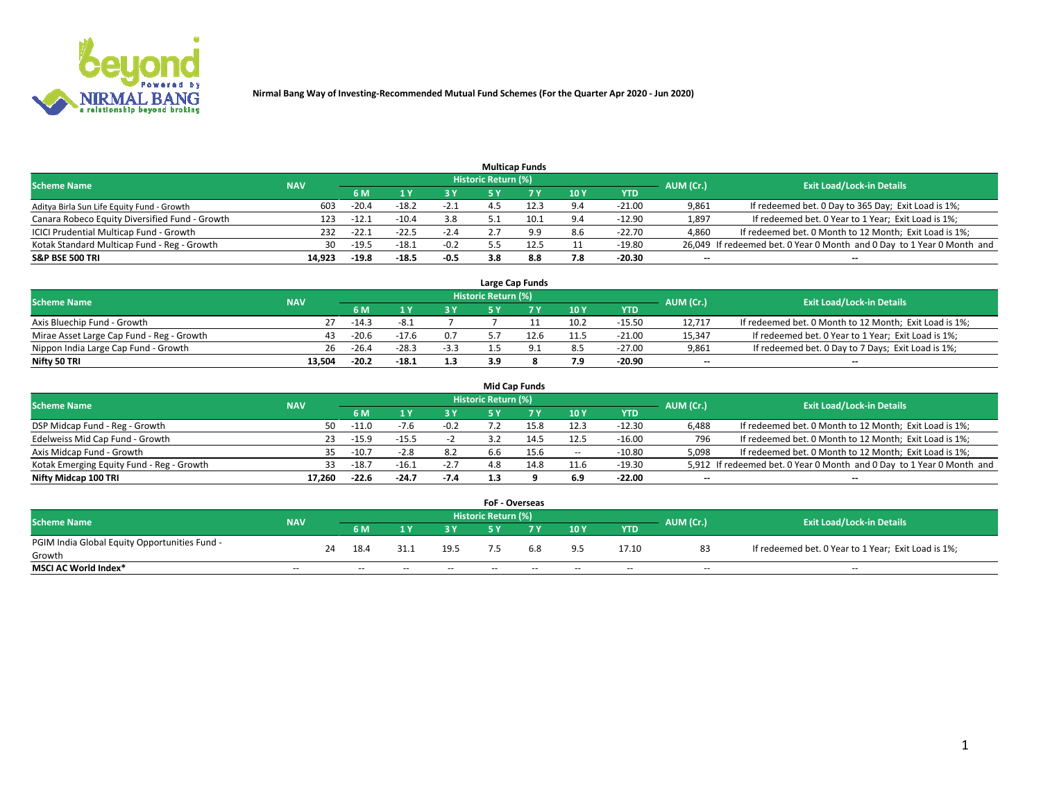

|                                                |            |         |         |        |                            | <b>Multicap Funds</b> |     |            |           |                                                                        |
|------------------------------------------------|------------|---------|---------|--------|----------------------------|-----------------------|-----|------------|-----------|------------------------------------------------------------------------|
| <b>Scheme Name</b>                             | <b>NAV</b> |         |         |        | <b>Historic Return (%)</b> |                       |     |            | AUM (Cr.) | <b>Exit Load/Lock-in Details</b>                                       |
|                                                |            | 6 M     |         |        |                            |                       | 10Y | <b>YTD</b> |           |                                                                        |
| Aditya Birla Sun Life Equity Fund - Growth     | 603        | $-20.4$ | $-18.2$ | $-2.1$ |                            | 12.3                  | 9.4 | $-21.00$   | 9,861     | If redeemed bet. 0 Day to 365 Day; Exit Load is 1%;                    |
| Canara Robeco Equity Diversified Fund - Growth | 123        | $-12.1$ | $-10.4$ | 3.8    |                            | 10.1                  | 9.4 | $-12.90$   | 1,897     | If redeemed bet. 0 Year to 1 Year; Exit Load is 1%;                    |
| ICICI Prudential Multicap Fund - Growth        | 232        | $-22.1$ | $-22.5$ | $-2.4$ |                            | 9.9                   | 8.6 | $-22.70$   | 4,860     | If redeemed bet. 0 Month to 12 Month; Exit Load is 1%;                 |
| Kotak Standard Multicap Fund - Reg - Growth    | 30         | $-19.5$ | $-18.1$ | $-0.2$ |                            | 12.5                  | 11  | -19.80     |           | 26,049 If redeemed bet. 0 Year 0 Month and 0 Day to 1 Year 0 Month and |
| <b>S&amp;P BSE 500 TRI</b>                     | 14.923     | $-19.8$ | $-18.5$ | -0.5   | 3.8                        | 8.8                   | 7.8 | $-20.30$   | $- -$     | $\overline{\phantom{a}}$                                               |

|                                           |            |         |         |        |                     | Large Cap Funds |      |          |                          |                                                        |
|-------------------------------------------|------------|---------|---------|--------|---------------------|-----------------|------|----------|--------------------------|--------------------------------------------------------|
| <b>Scheme Name</b>                        | <b>NAV</b> |         |         |        | Historic Return (%) |                 |      |          | AUM (Cr.)                | <b>Exit Load/Lock-in Details</b>                       |
|                                           |            |         |         |        |                     |                 | 10Y  | YTD      |                          |                                                        |
| Axis Bluechip Fund - Growth               | 27         | $-14.3$ | -8.1    |        |                     |                 | 10.2 | $-15.50$ | 12.717                   | If redeemed bet. 0 Month to 12 Month; Exit Load is 1%; |
| Mirae Asset Large Cap Fund - Reg - Growth | 43         | $-20.6$ | $-17.6$ | 0.7    |                     | 12.6            | 11.5 | $-21.00$ | 15,347                   | If redeemed bet. 0 Year to 1 Year; Exit Load is 1%;    |
| Nippon India Large Cap Fund - Growth      | 26         | $-26.4$ | $-28.3$ | $-3.3$ |                     |                 | 8.5  | $-27.00$ | 9,861                    | If redeemed bet. 0 Day to 7 Days; Exit Load is 1%;     |
| Nifty 50 TRI                              | 13.504     | $-20.2$ | $-18.1$ | 1.3    |                     |                 | 7.9  | $-20.90$ | $\overline{\phantom{a}}$ | --                                                     |

|                                           |            |         |         |        |                     | Mid Cap Funds |                          |          |                          |                                                                       |
|-------------------------------------------|------------|---------|---------|--------|---------------------|---------------|--------------------------|----------|--------------------------|-----------------------------------------------------------------------|
| <b>Scheme Name</b>                        | <b>NAV</b> |         |         |        | Historic Return (%) |               |                          |          | AUM (Cr.)                | <b>Exit Load/Lock-in Details</b>                                      |
|                                           |            | 6 M     |         | 3 Y    |                     |               | 10Y                      | YTD.     |                          |                                                                       |
| DSP Midcap Fund - Reg - Growth            | 50.        | $-11.0$ | $-7.6$  | $-0.2$ |                     | -5.8          | 12.3                     | $-12.30$ | 6,488                    | If redeemed bet. 0 Month to 12 Month; Exit Load is 1%;                |
| Edelweiss Mid Cap Fund - Growth           |            | $-15.9$ | $-15.5$ | -z     |                     | 14.5          | 12.5                     | $-16.00$ | 796                      | If redeemed bet. 0 Month to 12 Month; Exit Load is 1%;                |
| Axis Midcap Fund - Growth                 |            | $-10.7$ | $-2.8$  | 8.2    | 6.6                 | 15.6          | $\overline{\phantom{a}}$ | $-10.80$ | 5,098                    | If redeemed bet. 0 Month to 12 Month; Exit Load is 1%;                |
| Kotak Emerging Equity Fund - Reg - Growth | 33.        | $-18.7$ | $-16.1$ | $-2.7$ | 4.8                 | 14.8          | 11.6                     | $-19.30$ |                          | 5,912 If redeemed bet. 0 Year 0 Month and 0 Day to 1 Year 0 Month and |
| Nifty Midcap 100 TRI                      | 17.260     | $-22.6$ | $-24.7$ | -7.4   | 1.3                 |               | 6.9                      | $-22.00$ | $\overline{\phantom{a}}$ | $- -$                                                                 |

|                                               |            |    |                          |       |            | <b>FoF - Overseas</b>      |       |            |               |           |                                                     |
|-----------------------------------------------|------------|----|--------------------------|-------|------------|----------------------------|-------|------------|---------------|-----------|-----------------------------------------------------|
| <b>Scheme Name</b>                            | <b>NAV</b> |    |                          |       |            | <b>Historic Return (%)</b> |       |            |               | AUM (Cr.) | <b>Exit Load/Lock-in Details</b>                    |
|                                               |            |    | 6 M                      |       | 3 Y        |                            | 7 V   | 10Y        | <b>YTD</b>    |           |                                                     |
| PGIM India Global Equity Opportunities Fund - |            | 24 | 18.4                     | 31.1  | 19.5       |                            | 6.8   | 9.5        | 17.10         | 83        | If redeemed bet. 0 Year to 1 Year; Exit Load is 1%; |
| Growth                                        |            |    |                          |       |            |                            |       |            |               |           |                                                     |
| <b>MSCI AC World Index*</b>                   | $\sim$ $-$ |    | $\overline{\phantom{a}}$ | $- -$ | $\sim$ $-$ | $- -$                      | $- -$ | $\sim$ $-$ | $\sim$ $\sim$ | $\sim$    | $\sim$                                              |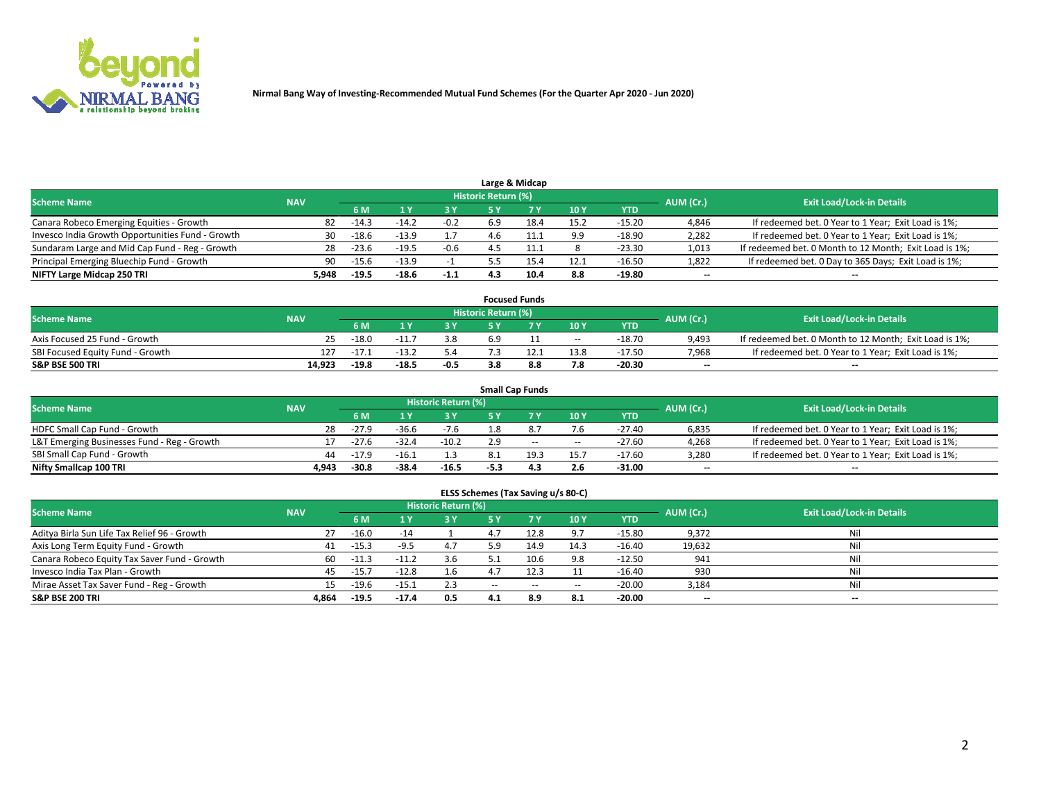

| Large & Midcap                                   |       |         |         |        |                     |      |      |          |           |                                                        |  |  |  |
|--------------------------------------------------|-------|---------|---------|--------|---------------------|------|------|----------|-----------|--------------------------------------------------------|--|--|--|
| <b>Scheme Name</b><br><b>NAV</b><br>6 M          |       |         |         |        | Historic Return (%) |      |      |          | AUM (Cr.) | <b>Exit Load/Lock-in Details</b>                       |  |  |  |
|                                                  | 2 V   |         |         | 10Y    | <b>YTD</b>          |      |      |          |           |                                                        |  |  |  |
| Canara Robeco Emerging Equities - Growth         | 82    | $-14.3$ | $-14.4$ | $-0.2$ | 6.9                 | 18.4 | 15.2 | $-15.20$ | 4,846     | If redeemed bet. 0 Year to 1 Year; Exit Load is 1%;    |  |  |  |
| Invesco India Growth Opportunities Fund - Growth | 30    | $-18.6$ | $-13.9$ |        |                     |      | 9.9  | $-18.90$ | 2,282     | If redeemed bet. 0 Year to 1 Year; Exit Load is 1%;    |  |  |  |
| Sundaram Large and Mid Cap Fund - Reg - Growth   | 28    | $-23.6$ | $-19.5$ | $-0.6$ |                     |      |      | $-23.30$ | 1,013     | If redeemed bet. 0 Month to 12 Month; Exit Load is 1%; |  |  |  |
| Principal Emerging Bluechip Fund - Growth        | 90.   | $-15.6$ | $-13.9$ |        |                     | 15.4 | 12.1 | $-16.50$ | 1,822     | If redeemed bet. 0 Day to 365 Days; Exit Load is 1%;   |  |  |  |
| NIFTY Large Midcap 250 TRI                       | 5.948 | $-19.5$ | -18.6   | $-1.1$ |                     | 10.4 | 8.8  | $-19.80$ | $- -$     | $- -$                                                  |  |  |  |

| <b>Focused Funds</b>             |            |         |         |      |                     |      |            |            |           |                                                        |  |
|----------------------------------|------------|---------|---------|------|---------------------|------|------------|------------|-----------|--------------------------------------------------------|--|
| <b>Scheme Name</b>               | <b>NAV</b> |         |         |      | Historic Return (%) |      |            |            | AUM (Cr.) | <b>Exit Load/Lock-in Details</b>                       |  |
|                                  |            | 6 M     |         |      |                     |      | 10Y        | <b>YTD</b> |           |                                                        |  |
| Axis Focused 25 Fund - Growth    | 25.        | $-18.0$ |         | 3.8  | 6.9                 |      | $\sim$ $-$ | $-18.70$   | 9,493     | If redeemed bet. 0 Month to 12 Month; Exit Load is 1%; |  |
| SBI Focused Equity Fund - Growth | 127        | $-17.2$ |         | 5.4  |                     | 12.1 | 13.8       | $-17.50$   | 7,968     | If redeemed bet. 0 Year to 1 Year; Exit Load is 1%;    |  |
| <b>S&amp;P BSE 500 TRI</b>       | 14,923     | $-19.8$ | $-18.5$ | -0.5 |                     | 8.8  | 7.8        | $-20.30$   | $- -$     | $-$                                                    |  |

| <b>Small Cap Funds</b>                      |            |         |         |                     |      |       |            |            |                          |                                                     |  |  |
|---------------------------------------------|------------|---------|---------|---------------------|------|-------|------------|------------|--------------------------|-----------------------------------------------------|--|--|
| <b>Scheme Name</b>                          | <b>NAV</b> |         |         | Historic Return (%) |      |       |            |            | AUM (Cr.)                | <b>Exit Load/Lock-in Details</b>                    |  |  |
|                                             |            | 6 M     |         | 3 Y                 |      |       | 10Y        | <b>YTD</b> |                          |                                                     |  |  |
| HDFC Small Cap Fund - Growth                | 28         | $-27.9$ | -36.6   | $-7.6$              | 1.8  |       | 7.6        | $-27.40$   | 6,835                    | If redeemed bet. 0 Year to 1 Year; Exit Load is 1%; |  |  |
| L&T Emerging Businesses Fund - Reg - Growth |            | $-27.6$ | $-32.4$ | $-10.2$             | 2.9  | $- -$ | $\sim$ $-$ | $-27.60$   | 4,268                    | If redeemed bet. 0 Year to 1 Year; Exit Load is 1%; |  |  |
| SBI Small Cap Fund - Growth                 | 44.        | $-17.9$ | $-16.1$ |                     |      | 19.3  | 15.7       | $-17.60$   | 3,280                    | If redeemed bet. 0 Year to 1 Year; Exit Load is 1%; |  |  |
| Nifty Smallcap 100 TRI                      | 4.943      | $-30.8$ | $-38.4$ | $-16.5$             | -5.3 | 4.3   | 2.6        | $-31.00$   | $\overline{\phantom{a}}$ | $\overline{\phantom{a}}$                            |  |  |

|  | ELSS Schemes (Tax Saving u/s 80-C) |
|--|------------------------------------|
|--|------------------------------------|

| <b>Scheme Name</b>                           | <b>NAV</b> |         |         | <b>Historic Return (%)</b> |       |       |       |            |                          |                                  |
|----------------------------------------------|------------|---------|---------|----------------------------|-------|-------|-------|------------|--------------------------|----------------------------------|
|                                              |            | 6 M     |         | 3 Y                        |       | 7 Y   | 10Y   | <b>YTD</b> | AUM (Cr.)                | <b>Exit Load/Lock-in Details</b> |
| Aditya Birla Sun Life Tax Relief 96 - Growth | 27         | $-16.0$ | $-14$   |                            | 4.7   | 12.8  | 9.7   | $-15.80$   | 9,372                    | Nil                              |
| Axis Long Term Equity Fund - Growth          | 41         | $-15.3$ | $-9.5$  | 4.7                        | 5.9   | 14.9  | 14.3  | -16.40     | 19,632                   | Nil                              |
| Canara Robeco Equity Tax Saver Fund - Growth | 60.        | $-11.3$ | $-11.2$ | 3.6                        |       | 10.6  | 9.8   | $-12.50$   | 941                      | Nil                              |
| Invesco India Tax Plan - Growth              | 45         | $-15.7$ | $-12.8$ | $1.6\phantom{0}$           | 4.7   | 12.3  | 11    | $-16.40$   | 930                      | Nil                              |
| Mirae Asset Tax Saver Fund - Reg - Growth    | 15         | $-19.6$ | -15.1   | 2.3                        | $- -$ | $- -$ | $- -$ | $-20.00$   | 3,184                    | Nil                              |
| S&P BSE 200 TRI                              | 4,864      | $-19.5$ | $-17.4$ | 0.5                        | 4.1   | 8.9   | 8.1   | $-20.00$   | $\overline{\phantom{a}}$ | $\overline{\phantom{a}}$         |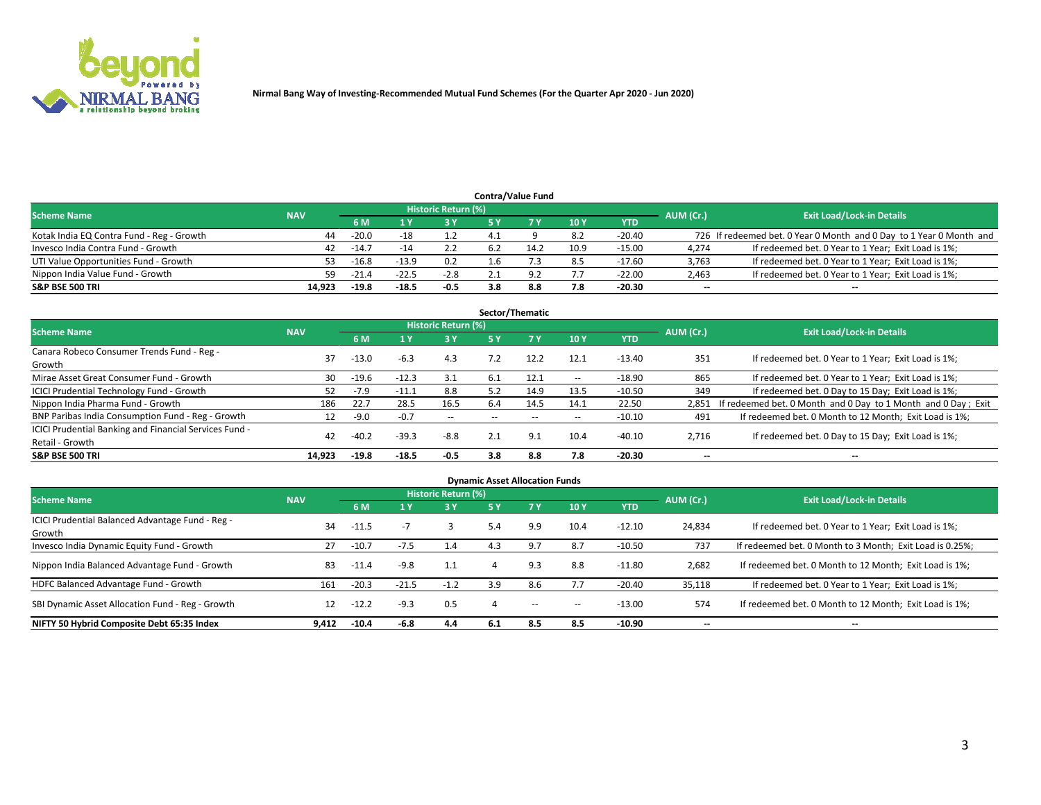

## **6 M 1 Y 3 Y 5 Y 7 Y 10 Y YTD** Kotak India EQ Contra Fund - Reg - Growth **44** -20.0 -18 1.2 4.1 9 8.2 -20.40 726 If redeemed bet. 0 Year 0 Month and 0 Day to 1 Year 0 Month and Invesco India Contra Fund - Growth 20 10:9 11.7 -14 2.2 6.2 14.2 10.9 -15.00 4,274 If redeemed bet. 0 Year to 1 Year; Exit Load is 1%; UTI Value Opportunities Fund - Growth **53** -16.8 -13.9 0.2 1.6 7.3 8.5 -17.60 3,763 If redeemed bet. 0 Year to 1 Year; Exit Load is 1%; Nippon India Value Fund - Growth **59 -21.4** -22.5 -2.8 2.1 9.2 7.7 -22.00 2,463 If redeemed bet. 0 Year to 1 Year; Exit Load is 1%; **S&P BSE 500 TRI 14,923 -19.8 -18.5 -0.5 3.8 8.8 7.8 -20.30 -- -- Contra/Value Fund Exit Load/Lock-in Details**<br>  $\frac{11}{11}$  **Exit Load/Lock-in Details**<br> **Historic Return (%)**<br> **Historic Return (%) Scheme Name NAV AUM (Cr.) NAV AUM (Cr.) NAV AUM (Cr.) AUM (Cr.) AUM (Cr.) AUM (Cr.)**

| Sector/Thematic                                        |            |         |                |                            |     |      |                          |            |                          |                                                               |  |  |
|--------------------------------------------------------|------------|---------|----------------|----------------------------|-----|------|--------------------------|------------|--------------------------|---------------------------------------------------------------|--|--|
| <b>Scheme Name</b>                                     | <b>NAV</b> |         |                | <b>Historic Return (%)</b> |     |      |                          |            | AUM (Cr.)                | <b>Exit Load/Lock-in Details</b>                              |  |  |
|                                                        |            | 6 M     | 1 Y            | 3Y                         | 5 Y |      | 10Y                      | <b>YTD</b> |                          |                                                               |  |  |
| Canara Robeco Consumer Trends Fund - Reg -<br>Growth   | 37         | $-13.0$ | $-6.3$         | 4.3                        | 7.2 | 12.2 | 12.1                     | $-13.40$   | 351                      | If redeemed bet. 0 Year to 1 Year; Exit Load is 1%;           |  |  |
| Mirae Asset Great Consumer Fund - Growth               | 30         | $-19.6$ | $-12.3$        | 3.1                        | 6.1 | 12.1 | $\sim$ $-$               | $-18.90$   | 865                      | If redeemed bet. 0 Year to 1 Year; Exit Load is 1%;           |  |  |
| <b>ICICI Prudential Technology Fund - Growth</b>       | 52.        | $-7.9$  | $-11.^{\circ}$ | 8.8                        | 5.2 | 14.9 | 13.5                     | $-10.50$   | 349                      | If redeemed bet. 0 Day to 15 Day; Exit Load is 1%;            |  |  |
| Nippon India Pharma Fund - Growth                      | 186        | 22.7    | 28.5           | 16.5                       | 6.4 | 14.5 | 14.1                     | 22.50      | 2.851                    | If redeemed bet. 0 Month and 0 Day to 1 Month and 0 Day; Exit |  |  |
| BNP Paribas India Consumption Fund - Reg - Growth      | 12         | $-9.0$  | $-0.7$         | $- -$                      |     |      | $\overline{\phantom{m}}$ | $-10.10$   | 491                      | If redeemed bet. 0 Month to 12 Month; Exit Load is 1%;        |  |  |
| ICICI Prudential Banking and Financial Services Fund - | 42         | $-40.2$ | $-39.3$        | $-8.8$                     | 2.1 | 9.1  | 10.4                     | $-40.10$   | 2,716                    | If redeemed bet. 0 Day to 15 Day; Exit Load is 1%;            |  |  |
| Retail - Growth                                        |            |         |                |                            |     |      |                          |            |                          |                                                               |  |  |
| <b>S&amp;P BSE 500 TRI</b>                             | 14.923     | $-19.8$ | $-18.5$        | $-0.5$                     | 3.8 | 8.8  | 7.8                      | $-20.30$   | $\overline{\phantom{a}}$ | --                                                            |  |  |

| <b>Dynamic Asset Allocation Funds</b>                      |            |                |                          |                     |     |           |                          |            |                          |                                                          |  |  |
|------------------------------------------------------------|------------|----------------|--------------------------|---------------------|-----|-----------|--------------------------|------------|--------------------------|----------------------------------------------------------|--|--|
| <b>Scheme Name</b>                                         | <b>NAV</b> |                |                          | Historic Return (%) |     |           |                          |            | AUM (Cr.)                | <b>Exit Load/Lock-in Details</b>                         |  |  |
|                                                            |            | 6 <sub>M</sub> |                          | 3 Y<br>75 Y         |     | <b>7Y</b> | <b>10Y</b>               | <b>YTD</b> |                          |                                                          |  |  |
| ICICI Prudential Balanced Advantage Fund - Reg -<br>Growth | 34         | $-11.5$        | $\overline{\phantom{a}}$ |                     | 5.4 | 9.9       | 10.4                     | $-12.10$   | 24,834                   | If redeemed bet. 0 Year to 1 Year; Exit Load is 1%;      |  |  |
| Invesco India Dynamic Equity Fund - Growth                 | 27         | $-10.7$        | $-7.5$                   | 4.4                 | 4.3 | 9.7       | 8.7                      | $-10.50$   | 737                      | If redeemed bet. 0 Month to 3 Month; Exit Load is 0.25%; |  |  |
| Nippon India Balanced Advantage Fund - Growth              | 83         | $-11.4$        | $-9.8$                   | 1.1                 | 4   | 9.3       | 8.8                      | $-11.80$   | 2,682                    | If redeemed bet. 0 Month to 12 Month; Exit Load is 1%;   |  |  |
| HDFC Balanced Advantage Fund - Growth                      | 161        | $-20.3$        | $-21.5$                  | $-1.2$              | 3.9 | 8.6       | 7.7                      | $-20.40$   | 35,118                   | If redeemed bet. 0 Year to 1 Year; Exit Load is 1%;      |  |  |
| SBI Dynamic Asset Allocation Fund - Reg - Growth           | 12         | $-12.2$        | $-9.3$                   | 0.5                 | Д   | $- -$     | $\overline{\phantom{a}}$ | $-13.00$   | 574                      | If redeemed bet. 0 Month to 12 Month; Exit Load is 1%;   |  |  |
| NIFTY 50 Hybrid Composite Debt 65:35 Index                 | 9.412      | $-10.4$        | -6.8                     | 4.4                 | 6.1 | 8.5       | 8.5                      | $-10.90$   | $\overline{\phantom{a}}$ | $\overline{\phantom{a}}$                                 |  |  |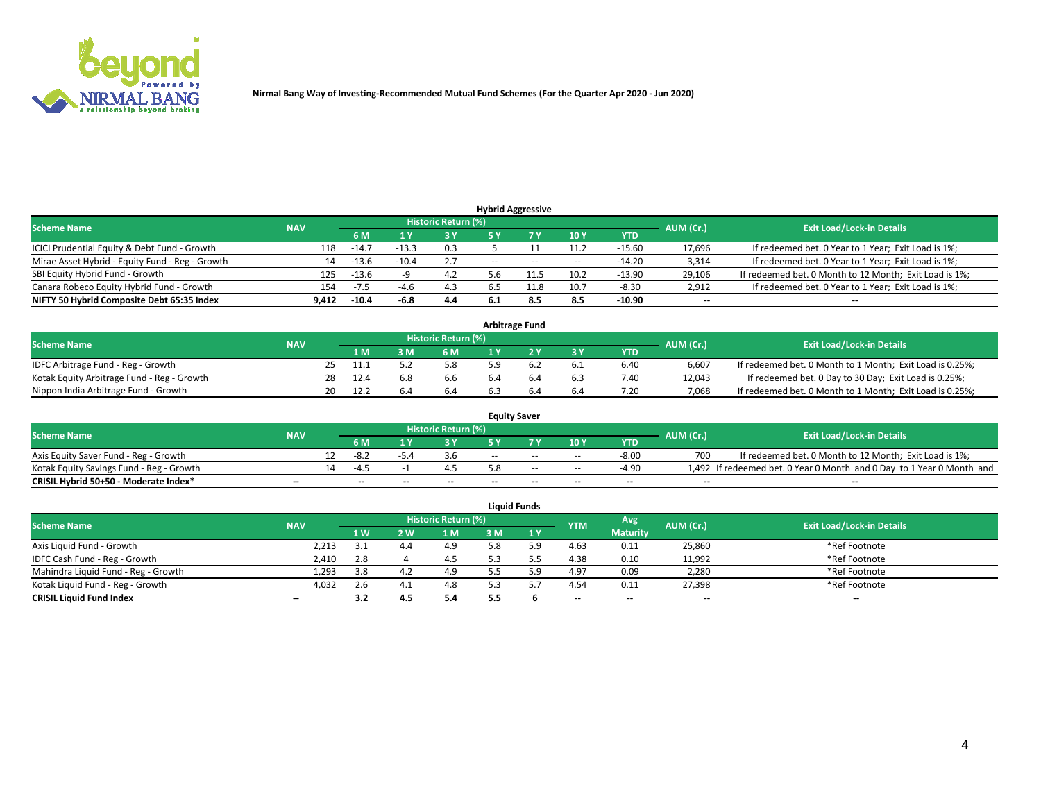

| <b>Hybrid Aggressive</b>                        |            |         |         |                            |               |       |                          |            |                          |                                                        |  |  |  |
|-------------------------------------------------|------------|---------|---------|----------------------------|---------------|-------|--------------------------|------------|--------------------------|--------------------------------------------------------|--|--|--|
| <b>Scheme Name</b>                              | <b>NAV</b> |         |         | <b>Historic Return (%)</b> |               |       |                          |            | AUM (Cr.)                | <b>Exit Load/Lock-in Details</b>                       |  |  |  |
|                                                 |            | 6 M     |         | 73 Y                       | 5 V           |       | 10Y                      | <b>YTD</b> |                          |                                                        |  |  |  |
| ICICI Prudential Equity & Debt Fund - Growth    | 118        | -14.7   | $-13.3$ | 0.3                        |               |       | 11.2                     | $-15.60$   | 17,696                   | If redeemed bet. 0 Year to 1 Year; Exit Load is 1%;    |  |  |  |
| Mirae Asset Hybrid - Equity Fund - Reg - Growth | 14         | $-13.6$ | $-10.4$ | 2.7                        | $\sim$ $\sim$ | $- -$ | $\overline{\phantom{a}}$ | $-14.20$   | 3,314                    | If redeemed bet. 0 Year to 1 Year; Exit Load is 1%;    |  |  |  |
| SBI Equity Hybrid Fund - Growth                 | 125        | $-13.6$ |         | 4.2                        |               |       | 10.2                     | $-13.90$   | 29,106                   | If redeemed bet. 0 Month to 12 Month; Exit Load is 1%; |  |  |  |
| Canara Robeco Equity Hybrid Fund - Growth       | 154        | $-7.5$  | -4.6    | 4.3                        | b.5           | 11.8  | 10.7                     | $-8.30$    | 2,912                    | If redeemed bet. 0 Year to 1 Year; Exit Load is 1%;    |  |  |  |
| NIFTY 50 Hybrid Composite Debt 65:35 Index      | 9.412      | $-10.4$ | -6.8    | 4.4                        | 6.1           | 8.5   | 8.5                      | $-10.90$   | $\overline{\phantom{a}}$ | $\overline{\phantom{a}}$                               |  |  |  |

| <b>Arbitrage Fund</b>                      |            |     |      |          |                     |     |  |     |            |           |                                                          |  |  |
|--------------------------------------------|------------|-----|------|----------|---------------------|-----|--|-----|------------|-----------|----------------------------------------------------------|--|--|
| <b>Scheme Name</b>                         | <b>NAV</b> |     |      |          | Historic Return (%) |     |  |     |            | AUM (Cr.) | <b>Exit Load/Lock-in Details</b>                         |  |  |
|                                            |            |     | 1 M  | <b>M</b> | 6 M                 | 1 V |  | 3 Y | <b>YTD</b> |           |                                                          |  |  |
| IDFC Arbitrage Fund - Reg - Growth         |            |     | 11.1 |          | 5.8                 |     |  | 6.1 | 6.40       | 6.607     | If redeemed bet. 0 Month to 1 Month; Exit Load is 0.25%; |  |  |
| Kotak Equity Arbitrage Fund - Reg - Growth |            | 28. | 12.4 | 6.8      | 6.6                 |     |  | 6.3 | 7.40       | 12.043    | If redeemed bet. 0 Day to 30 Day; Exit Load is 0.25%;    |  |  |
| Nippon India Arbitrage Fund - Growth       |            |     |      |          | 6.4                 |     |  | 6.4 | 7.20       | 7.068     | If redeemed bet. 0 Month to 1 Month; Exit Load is 0.25%; |  |  |

| <b>Equity Saver</b>                      |            |  |      |       |                     |     |       |                          |            |           |                                                                       |  |  |
|------------------------------------------|------------|--|------|-------|---------------------|-----|-------|--------------------------|------------|-----------|-----------------------------------------------------------------------|--|--|
| <b>Scheme Name</b>                       | <b>NAV</b> |  |      |       | Historic Return (%) |     |       |                          |            | AUM (Cr.) | <b>Exit Load/Lock-in Details</b>                                      |  |  |
|                                          |            |  | 6 M  |       | ט כ                 |     |       | 10Y                      | <b>YTD</b> |           |                                                                       |  |  |
| Axis Equity Saver Fund - Reg - Growth    |            |  |      |       |                     | $-$ | $-$   | $- -$                    | $-8.00$    |           | If redeemed bet. 0 Month to 12 Month; Exit Load is 1%;                |  |  |
| Kotak Equity Savings Fund - Reg - Growth |            |  | $-4$ |       |                     |     | $- -$ | $\sim$ $-$               | $-4.90$    |           | 1,492 If redeemed bet. 0 Year 0 Month and 0 Day to 1 Year 0 Month and |  |  |
| CRISIL Hybrid 50+50 - Moderate Index*    | $- -$      |  | $-$  | $- -$ | $- -$               | $-$ | $-$   | $\overline{\phantom{a}}$ | $- -$      | --        | $- -$                                                                 |  |  |

| <b>Liquid Funds</b>                 |                          |     |      |                     |     |     |            |                 |           |                                  |  |  |  |  |
|-------------------------------------|--------------------------|-----|------|---------------------|-----|-----|------------|-----------------|-----------|----------------------------------|--|--|--|--|
| <b>Scheme Name</b>                  | <b>NAV</b>               |     |      | Historic Return (%) |     |     | <b>YTM</b> | Avg             | AUM (Cr.) | <b>Exit Load/Lock-in Details</b> |  |  |  |  |
|                                     |                          | 1W  | 2 W. | 1 M                 | 3 M | 1 Y |            | <b>Maturity</b> |           |                                  |  |  |  |  |
| Axis Liquid Fund - Growth           | 2,213                    | ـــ | 4.4  | 4.9                 | 5.8 |     | 4.63       | 0.11            | 25,860    | *Ref Footnote                    |  |  |  |  |
| IDFC Cash Fund - Reg - Growth       | 2,410                    | 2.8 |      | 4.5                 |     |     | 4.38       | 0.10            | 11,992    | *Ref Footnote                    |  |  |  |  |
| Mahindra Liquid Fund - Reg - Growth | 1,293                    | 3.8 | 4.2  | 4.9                 |     |     | 4.97       | 0.09            | 2,280     | *Ref Footnote                    |  |  |  |  |
| Kotak Liquid Fund - Reg - Growth    | 4,032                    | 2.6 | 4.1  | 4.8                 |     |     | 4.54       | 0.11            | 27,398    | *Ref Footnote                    |  |  |  |  |
| <b>CRISIL Liquid Fund Index</b>     | $\overline{\phantom{a}}$ | 3.2 |      | 5.4                 | 5.5 |     | $- -$      | $- -$           | $- -$     | $-$                              |  |  |  |  |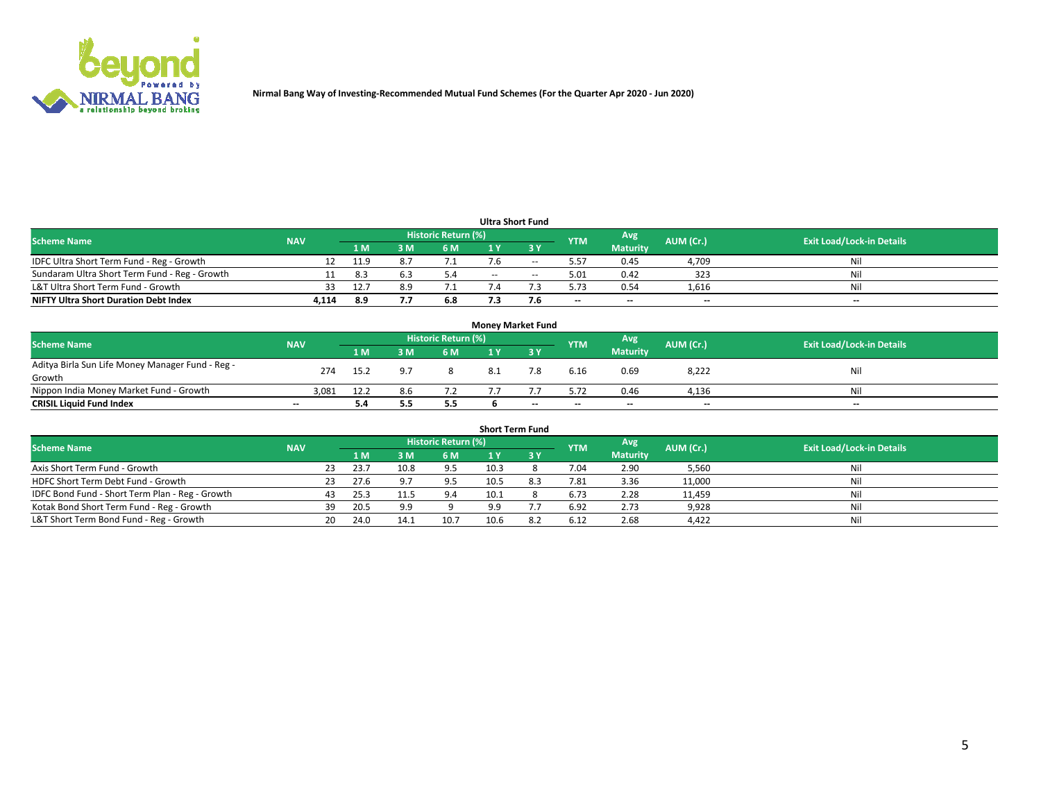

| <b>Ultra Short Fund</b>                       |            |      |     |                     |       |        |                          |                 |           |                                  |  |  |
|-----------------------------------------------|------------|------|-----|---------------------|-------|--------|--------------------------|-----------------|-----------|----------------------------------|--|--|
| <b>Scheme Name</b>                            | <b>NAV</b> |      |     | Historic Return (%) |       |        | <b>YTM</b>               | Avg             | AUM (Cr.) | <b>Exit Load/Lock-in Details</b> |  |  |
|                                               |            | 1 M  |     | 6 M                 |       | 3 Y    |                          | <b>Maturity</b> |           |                                  |  |  |
| IDFC Ultra Short Term Fund - Reg - Growth     |            | 11.9 |     |                     | 7.6   | $- -$  | 5.57                     | 0.45            | 4,709     | Nil                              |  |  |
| Sundaram Ultra Short Term Fund - Reg - Growth |            | 8.3  |     |                     | $- -$ | $\sim$ | 5.01                     | 0.42            | 323       | Nil                              |  |  |
| L&T Ultra Short Term Fund - Growth            |            | 12.7 |     |                     |       |        | 5.73                     | 0.54            | 1,616     | Nil                              |  |  |
| <b>NIFTY Ultra Short Duration Debt Index</b>  | 4,114      | 8.9  | 7.7 | 6.8                 |       | 7.6    | $\overline{\phantom{a}}$ | $\sim$          | $-$       | $\sim$                           |  |  |

| <b>Money Market Fund</b>                         |                          |                |     |                            |  |     |            |                 |           |                                  |  |  |  |
|--------------------------------------------------|--------------------------|----------------|-----|----------------------------|--|-----|------------|-----------------|-----------|----------------------------------|--|--|--|
| <b>Scheme Name</b>                               | <b>NAV</b>               |                |     | <b>Historic Return (%)</b> |  |     | <b>YTM</b> | Avg             | AUM (Cr.) | <b>Exit Load/Lock-in Details</b> |  |  |  |
|                                                  |                          | 1 <sub>M</sub> |     | 6 M                        |  | эv  |            | <b>Maturity</b> |           |                                  |  |  |  |
| Aditya Birla Sun Life Money Manager Fund - Reg - | 274                      | 15.2           |     |                            |  |     | 6.16       | 0.69            | 8,222     | Nil                              |  |  |  |
| Growth                                           |                          |                |     |                            |  |     |            |                 |           |                                  |  |  |  |
| Nippon India Money Market Fund - Growth          | 3.081                    | 12.2           | 8.6 |                            |  |     | 5.72       | 0.46            | 4,136     | Nil                              |  |  |  |
| <b>CRISIL Liquid Fund Index</b>                  | $\overline{\phantom{a}}$ | 5.4            | 5.5 | 5.5                        |  | $-$ | $-$        | $\sim$          | $- -$     | $- -$                            |  |  |  |

| <b>Short Term Fund</b>                          |            |    |      |      |                            |      |  |            |                 |           |                                  |  |
|-------------------------------------------------|------------|----|------|------|----------------------------|------|--|------------|-----------------|-----------|----------------------------------|--|
| <b>Scheme Name</b>                              | <b>NAV</b> |    |      |      | <b>Historic Return (%)</b> |      |  | <b>YTM</b> | Avg             | AUM (Cr.) | <b>Exit Load/Lock-in Details</b> |  |
|                                                 |            |    | 1 M  | 3 M  | 6 <sub>M</sub>             |      |  |            | <b>Maturity</b> |           |                                  |  |
| Axis Short Term Fund - Growth                   |            | 23 | 23.7 | 10.8 | 9.5                        | 10.3 |  | 7.04       | 2.90            | 5,560     | Nil                              |  |
| HDFC Short Term Debt Fund - Growth              |            |    | 27.6 |      | 9.5                        | 10.5 |  | 7.81       | 3.36            | 11,000    | Nil                              |  |
| IDFC Bond Fund - Short Term Plan - Reg - Growth |            |    | 25.3 |      | 9.4                        | 10.1 |  | 6.73       | 2.28            | 11,459    | Nil                              |  |
| Kotak Bond Short Term Fund - Reg - Growth       |            | 39 | 20.5 | 9.9  |                            | 9.9  |  | 6.92       | 2.73            | 9,928     | Nil                              |  |
| L&T Short Term Bond Fund - Reg - Growth         |            | 20 | 24.0 | 14.1 | 10.7                       | 10.6 |  | 6.12       | 2.68            | 4,422     | Nil                              |  |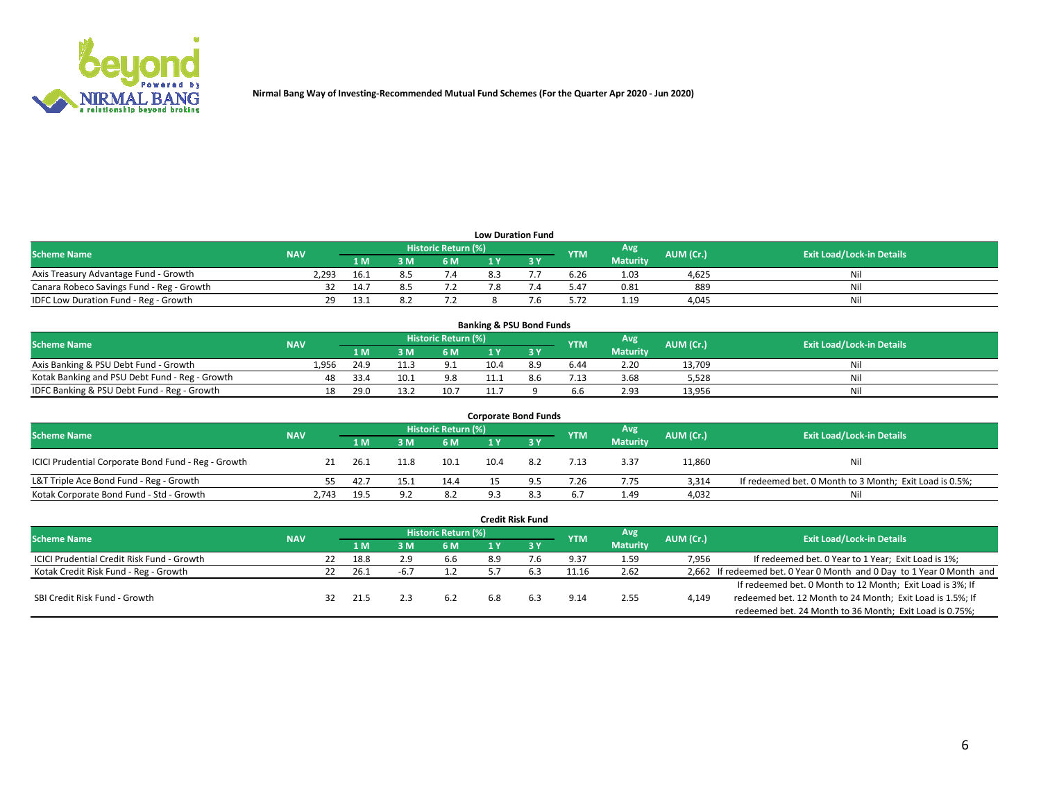

| <b>Low Duration Fund</b>                  |            |      |     |                            |  |  |            |                 |           |                                  |  |  |  |
|-------------------------------------------|------------|------|-----|----------------------------|--|--|------------|-----------------|-----------|----------------------------------|--|--|--|
| <b>Scheme Name</b>                        | <b>NAV</b> |      |     | <b>Historic Return (%)</b> |  |  | <b>YTM</b> | Avg             | AUM (Cr.) | <b>Exit Load/Lock-in Details</b> |  |  |  |
|                                           |            | 1 M  | 3 M | 6 M                        |  |  |            | <b>Maturity</b> |           |                                  |  |  |  |
| Axis Treasury Advantage Fund - Growth     | 2,293      | 16.1 |     | 7.4                        |  |  | 6.26       | 1.03            | 4,625     | Nil                              |  |  |  |
| Canara Robeco Savings Fund - Reg - Growth |            | 14.7 |     |                            |  |  | 5.47       | 0.81            | 889       | Nil                              |  |  |  |
| IDFC Low Duration Fund - Reg - Growth     | 29         | 13.1 |     |                            |  |  | 5.72       | 1.19            | 4,045     | Nil                              |  |  |  |

| <b>Banking &amp; PSU Bond Funds</b>            |            |      |      |                     |      |     |            |                 |           |                                  |  |  |
|------------------------------------------------|------------|------|------|---------------------|------|-----|------------|-----------------|-----------|----------------------------------|--|--|
| <b>Scheme Name</b>                             | <b>NAV</b> |      |      | Historic Return (%) |      |     | <b>YTM</b> | Avg             | AUM (Cr.) | <b>Exit Load/Lock-in Details</b> |  |  |
|                                                |            | 1 M  |      | 6 M                 |      |     |            | <b>Maturity</b> |           |                                  |  |  |
| Axis Banking & PSU Debt Fund - Growth          | 1.956      | 24.9 |      | 9.1                 | 10.4 | 8.9 | 6.44       | 2.20            | 13.709    | Nil                              |  |  |
| Kotak Banking and PSU Debt Fund - Reg - Growth |            | 33.4 | 10.1 | 9.8                 |      |     | 7.13       | 3.68            | 5,528     | Nil                              |  |  |
| IDFC Banking & PSU Debt Fund - Reg - Growth    |            | 29.0 |      | 10.7                |      |     | 6.6        | 2.93            | 13,956    | Nil                              |  |  |

| <b>Corporate Bond Funds</b>                         |            |      |      |                                          |     |           |                                  |                 |        |                                                         |  |  |
|-----------------------------------------------------|------------|------|------|------------------------------------------|-----|-----------|----------------------------------|-----------------|--------|---------------------------------------------------------|--|--|
| <b>Scheme Name</b>                                  | <b>NAV</b> |      |      | Historic Return (%)<br>Avg<br><b>YTM</b> |     | AUM (Cr.) | <b>Exit Load/Lock-in Details</b> |                 |        |                                                         |  |  |
|                                                     |            | 1 M  | የ M  | 6 M                                      |     |           |                                  | <b>Maturity</b> |        |                                                         |  |  |
| ICICI Prudential Corporate Bond Fund - Reg - Growth |            | 26.1 | 11.8 | 10.1                                     |     |           | 7.13                             | 3.37            | 11,860 | Nil                                                     |  |  |
| L&T Triple Ace Bond Fund - Reg - Growth             |            | 42.7 | 15.1 | 14.4                                     |     |           | 7.26                             | 7.75            | 3,314  | If redeemed bet. 0 Month to 3 Month; Exit Load is 0.5%; |  |  |
| Kotak Corporate Bond Fund - Std - Growth            | 2.743      | 19.5 | 9.2  | 8.2                                      | Q 3 |           | 6.7                              | 1.49            | 4.032  | Nil                                                     |  |  |

| <b>Credit Risk Fund</b>                           |            |  |      |     |                     |     |           |            |                 |           |                                                                       |  |  |  |
|---------------------------------------------------|------------|--|------|-----|---------------------|-----|-----------|------------|-----------------|-----------|-----------------------------------------------------------------------|--|--|--|
| <b>Scheme Name</b>                                | <b>NAV</b> |  |      |     | Historic Return (%) |     |           | <b>YTM</b> | Avg             | AUM (Cr.) | <b>Exit Load/Lock-in Details</b>                                      |  |  |  |
|                                                   |            |  | 1 M  | ៵៳  | 6 M                 | 1 Y | $Z$ 3 $Y$ |            | <b>Maturity</b> |           |                                                                       |  |  |  |
| <b>ICICI Prudential Credit Risk Fund - Growth</b> |            |  | 18.8 | 2.9 | 6.6                 | 8.9 | 7.6       | 9.37       | 1.59            | 7,956     | If redeemed bet. 0 Year to 1 Year; Exit Load is 1%;                   |  |  |  |
| Kotak Credit Risk Fund - Reg - Growth             |            |  | 26.1 |     |                     |     |           | 11.16      | 2.62            |           | 2,662 If redeemed bet. 0 Year 0 Month and 0 Day to 1 Year 0 Month and |  |  |  |
|                                                   |            |  |      |     |                     |     |           |            |                 |           | If redeemed bet. 0 Month to 12 Month; Exit Load is 3%; If             |  |  |  |
| SBI Credit Risk Fund - Growth                     |            |  | 21.5 |     | 6.2                 | 6.8 |           | 9.14       | 2.55            | 4,149     | redeemed bet. 12 Month to 24 Month; Exit Load is 1.5%; If             |  |  |  |
|                                                   |            |  |      |     |                     |     |           |            |                 |           | redeemed bet. 24 Month to 36 Month; Exit Load is 0.75%;               |  |  |  |